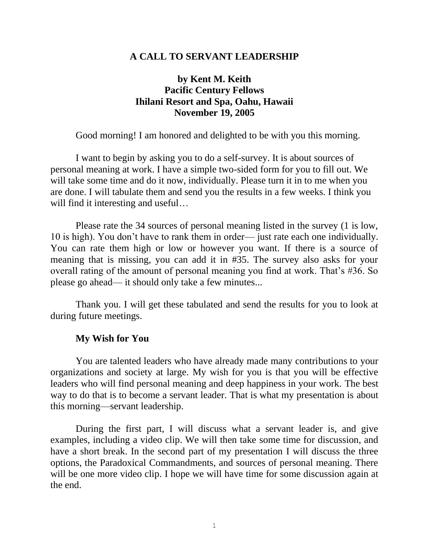# **A CALL TO SERVANT LEADERSHIP**

# **by Kent M. Keith Pacific Century Fellows Ihilani Resort and Spa, Oahu, Hawaii November 19, 2005**

Good morning! I am honored and delighted to be with you this morning.

I want to begin by asking you to do a self-survey. It is about sources of personal meaning at work. I have a simple two-sided form for you to fill out. We will take some time and do it now, individually. Please turn it in to me when you are done. I will tabulate them and send you the results in a few weeks. I think you will find it interesting and useful...

Please rate the 34 sources of personal meaning listed in the survey (1 is low, 10 is high). You don't have to rank them in order— just rate each one individually. You can rate them high or low or however you want. If there is a source of meaning that is missing, you can add it in #35. The survey also asks for your overall rating of the amount of personal meaning you find at work. That's #36. So please go ahead— it should only take a few minutes...

Thank you. I will get these tabulated and send the results for you to look at during future meetings.

#### **My Wish for You**

You are talented leaders who have already made many contributions to your organizations and society at large. My wish for you is that you will be effective leaders who will find personal meaning and deep happiness in your work. The best way to do that is to become a servant leader. That is what my presentation is about this morning—servant leadership.

During the first part, I will discuss what a servant leader is, and give examples, including a video clip. We will then take some time for discussion, and have a short break. In the second part of my presentation I will discuss the three options, the Paradoxical Commandments, and sources of personal meaning. There will be one more video clip. I hope we will have time for some discussion again at the end.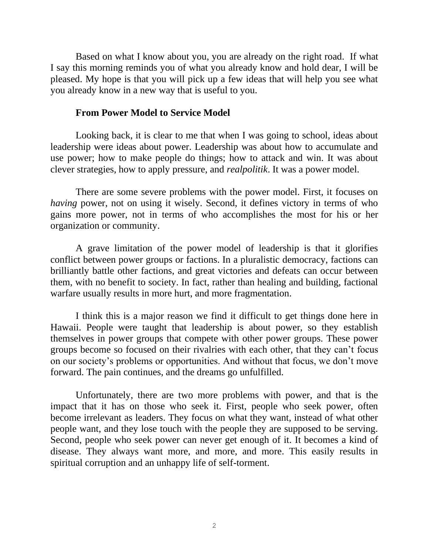Based on what I know about you, you are already on the right road. If what I say this morning reminds you of what you already know and hold dear, I will be pleased. My hope is that you will pick up a few ideas that will help you see what you already know in a new way that is useful to you.

#### **From Power Model to Service Model**

Looking back, it is clear to me that when I was going to school, ideas about leadership were ideas about power. Leadership was about how to accumulate and use power; how to make people do things; how to attack and win. It was about clever strategies, how to apply pressure, and *realpolitik*. It was a power model.

There are some severe problems with the power model. First, it focuses on *having* power, not on using it wisely. Second, it defines victory in terms of who gains more power, not in terms of who accomplishes the most for his or her organization or community.

A grave limitation of the power model of leadership is that it glorifies conflict between power groups or factions. In a pluralistic democracy, factions can brilliantly battle other factions, and great victories and defeats can occur between them, with no benefit to society. In fact, rather than healing and building, factional warfare usually results in more hurt, and more fragmentation.

I think this is a major reason we find it difficult to get things done here in Hawaii. People were taught that leadership is about power, so they establish themselves in power groups that compete with other power groups. These power groups become so focused on their rivalries with each other, that they can't focus on our society's problems or opportunities. And without that focus, we don't move forward. The pain continues, and the dreams go unfulfilled.

Unfortunately, there are two more problems with power, and that is the impact that it has on those who seek it. First, people who seek power, often become irrelevant as leaders. They focus on what they want, instead of what other people want, and they lose touch with the people they are supposed to be serving. Second, people who seek power can never get enough of it. It becomes a kind of disease. They always want more, and more, and more. This easily results in spiritual corruption and an unhappy life of self-torment.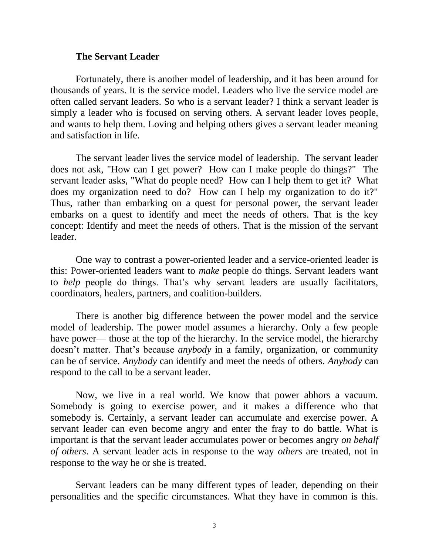#### **The Servant Leader**

Fortunately, there is another model of leadership, and it has been around for thousands of years. It is the service model. Leaders who live the service model are often called servant leaders. So who is a servant leader? I think a servant leader is simply a leader who is focused on serving others. A servant leader loves people, and wants to help them. Loving and helping others gives a servant leader meaning and satisfaction in life.

The servant leader lives the service model of leadership. The servant leader does not ask, "How can I get power? How can I make people do things?" The servant leader asks, "What do people need? How can I help them to get it? What does my organization need to do? How can I help my organization to do it?" Thus, rather than embarking on a quest for personal power, the servant leader embarks on a quest to identify and meet the needs of others. That is the key concept: Identify and meet the needs of others. That is the mission of the servant leader.

One way to contrast a power-oriented leader and a service-oriented leader is this: Power-oriented leaders want to *make* people do things. Servant leaders want to *help* people do things. That's why servant leaders are usually facilitators, coordinators, healers, partners, and coalition-builders.

There is another big difference between the power model and the service model of leadership. The power model assumes a hierarchy. Only a few people have power— those at the top of the hierarchy. In the service model, the hierarchy doesn't matter. That's because *anybody* in a family, organization, or community can be of service. *Anybody* can identify and meet the needs of others. *Anybody* can respond to the call to be a servant leader.

Now, we live in a real world. We know that power abhors a vacuum. Somebody is going to exercise power, and it makes a difference who that somebody is. Certainly, a servant leader can accumulate and exercise power. A servant leader can even become angry and enter the fray to do battle. What is important is that the servant leader accumulates power or becomes angry *on behalf of others*. A servant leader acts in response to the way *others* are treated, not in response to the way he or she is treated.

Servant leaders can be many different types of leader, depending on their personalities and the specific circumstances. What they have in common is this.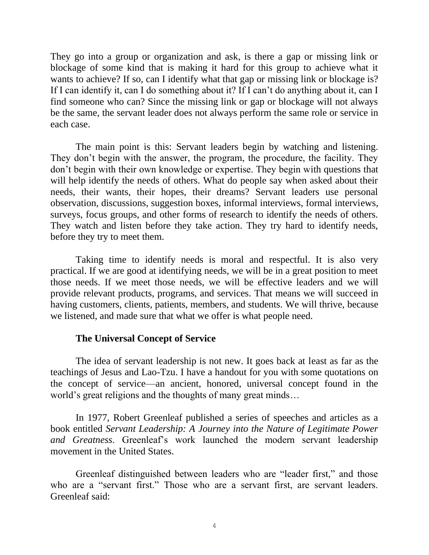They go into a group or organization and ask, is there a gap or missing link or blockage of some kind that is making it hard for this group to achieve what it wants to achieve? If so, can I identify what that gap or missing link or blockage is? If I can identify it, can I do something about it? If I can't do anything about it, can I find someone who can? Since the missing link or gap or blockage will not always be the same, the servant leader does not always perform the same role or service in each case.

The main point is this: Servant leaders begin by watching and listening. They don't begin with the answer, the program, the procedure, the facility. They don't begin with their own knowledge or expertise. They begin with questions that will help identify the needs of others. What do people say when asked about their needs, their wants, their hopes, their dreams? Servant leaders use personal observation, discussions, suggestion boxes, informal interviews, formal interviews, surveys, focus groups, and other forms of research to identify the needs of others. They watch and listen before they take action. They try hard to identify needs, before they try to meet them.

Taking time to identify needs is moral and respectful. It is also very practical. If we are good at identifying needs, we will be in a great position to meet those needs. If we meet those needs, we will be effective leaders and we will provide relevant products, programs, and services. That means we will succeed in having customers, clients, patients, members, and students. We will thrive, because we listened, and made sure that what we offer is what people need.

# **The Universal Concept of Service**

The idea of servant leadership is not new. It goes back at least as far as the teachings of Jesus and Lao-Tzu. I have a handout for you with some quotations on the concept of service—an ancient, honored, universal concept found in the world's great religions and the thoughts of many great minds…

In 1977, Robert Greenleaf published a series of speeches and articles as a book entitled *Servant Leadership: A Journey into the Nature of Legitimate Power and Greatness*. Greenleaf's work launched the modern servant leadership movement in the United States.

Greenleaf distinguished between leaders who are "leader first," and those who are a "servant first." Those who are a servant first, are servant leaders. Greenleaf said: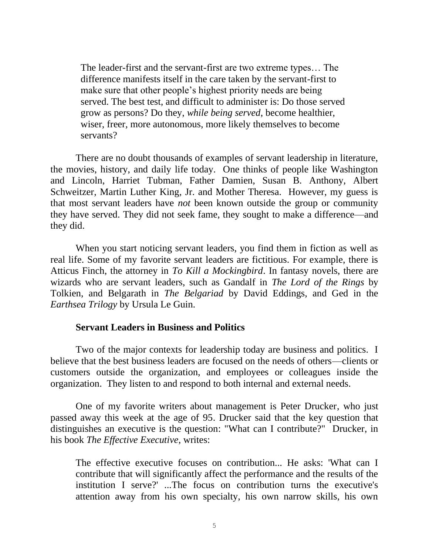The leader-first and the servant-first are two extreme types… The difference manifests itself in the care taken by the servant-first to make sure that other people's highest priority needs are being served. The best test, and difficult to administer is: Do those served grow as persons? Do they, *while being served*, become healthier, wiser, freer, more autonomous, more likely themselves to become servants?

There are no doubt thousands of examples of servant leadership in literature, the movies, history, and daily life today. One thinks of people like Washington and Lincoln, Harriet Tubman, Father Damien, Susan B. Anthony, Albert Schweitzer, Martin Luther King, Jr. and Mother Theresa. However, my guess is that most servant leaders have *not* been known outside the group or community they have served. They did not seek fame, they sought to make a difference—and they did.

When you start noticing servant leaders, you find them in fiction as well as real life. Some of my favorite servant leaders are fictitious. For example, there is Atticus Finch, the attorney in *To Kill a Mockingbird*. In fantasy novels, there are wizards who are servant leaders, such as Gandalf in *The Lord of the Rings* by Tolkien, and Belgarath in *The Belgariad* by David Eddings, and Ged in the *Earthsea Trilogy* by Ursula Le Guin.

#### **Servant Leaders in Business and Politics**

Two of the major contexts for leadership today are business and politics. I believe that the best business leaders are focused on the needs of others—clients or customers outside the organization, and employees or colleagues inside the organization. They listen to and respond to both internal and external needs.

One of my favorite writers about management is Peter Drucker, who just passed away this week at the age of 95. Drucker said that the key question that distinguishes an executive is the question: "What can I contribute?" Drucker, in his book *The Effective Executive*, writes:

The effective executive focuses on contribution... He asks: 'What can I contribute that will significantly affect the performance and the results of the institution I serve?' ...The focus on contribution turns the executive's attention away from his own specialty, his own narrow skills, his own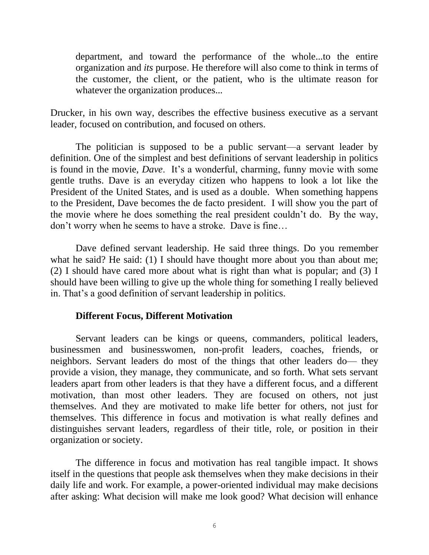department, and toward the performance of the whole...to the entire organization and *its* purpose. He therefore will also come to think in terms of the customer, the client, or the patient, who is the ultimate reason for whatever the organization produces...

Drucker, in his own way, describes the effective business executive as a servant leader, focused on contribution, and focused on others.

The politician is supposed to be a public servant—a servant leader by definition. One of the simplest and best definitions of servant leadership in politics is found in the movie, *Dave*. It's a wonderful, charming, funny movie with some gentle truths. Dave is an everyday citizen who happens to look a lot like the President of the United States, and is used as a double. When something happens to the President, Dave becomes the de facto president. I will show you the part of the movie where he does something the real president couldn't do. By the way, don't worry when he seems to have a stroke. Dave is fine…

Dave defined servant leadership. He said three things. Do you remember what he said? He said: (1) I should have thought more about you than about me; (2) I should have cared more about what is right than what is popular; and (3) I should have been willing to give up the whole thing for something I really believed in. That's a good definition of servant leadership in politics.

# **Different Focus, Different Motivation**

Servant leaders can be kings or queens, commanders, political leaders, businessmen and businesswomen, non-profit leaders, coaches, friends, or neighbors. Servant leaders do most of the things that other leaders do— they provide a vision, they manage, they communicate, and so forth. What sets servant leaders apart from other leaders is that they have a different focus, and a different motivation, than most other leaders. They are focused on others, not just themselves. And they are motivated to make life better for others, not just for themselves. This difference in focus and motivation is what really defines and distinguishes servant leaders, regardless of their title, role, or position in their organization or society.

The difference in focus and motivation has real tangible impact. It shows itself in the questions that people ask themselves when they make decisions in their daily life and work. For example, a power-oriented individual may make decisions after asking: What decision will make me look good? What decision will enhance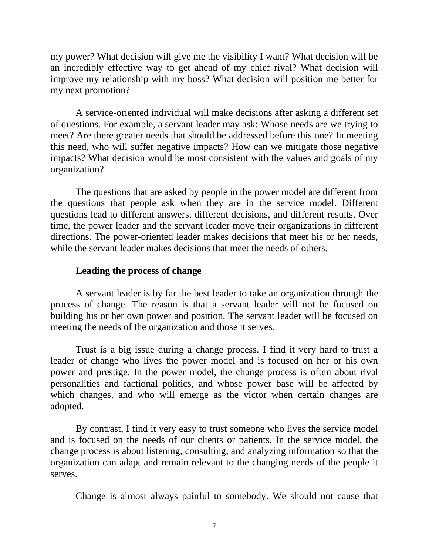my power? What decision will give me the visibility I want? What decision will be an incredibly effective way to get ahead of my chief rival? What decision will improve my relationship with my boss? What decision will position me better for my next promotion?

A service-oriented individual will make decisions after asking a different set of questions. For example, a servant leader may ask: Whose needs are we trying to meet? Are there greater needs that should be addressed before this one? In meeting this need, who will suffer negative impacts? How can we mitigate those negative impacts? What decision would be most consistent with the values and goals of my organization?

The questions that are asked by people in the power model are different from the questions that people ask when they are in the service model. Different questions lead to different answers, different decisions, and different results. Over time, the power leader and the servant leader move their organizations in different directions. The power-oriented leader makes decisions that meet his or her needs, while the servant leader makes decisions that meet the needs of others.

#### **Leading the process of change**

A servant leader is by far the best leader to take an organization through the process of change. The reason is that a servant leader will not be focused on building his or her own power and position. The servant leader will be focused on meeting the needs of the organization and those it serves.

Trust is a big issue during a change process. I find it very hard to trust a leader of change who lives the power model and is focused on her or his own power and prestige. In the power model, the change process is often about rival personalities and factional politics, and whose power base will be affected by which changes, and who will emerge as the victor when certain changes are adopted.

By contrast, I find it very easy to trust someone who lives the service model and is focused on the needs of our clients or patients. In the service model, the change process is about listening, consulting, and analyzing information so that the organization can adapt and remain relevant to the changing needs of the people it serves.

Change is almost always painful to somebody. We should not cause that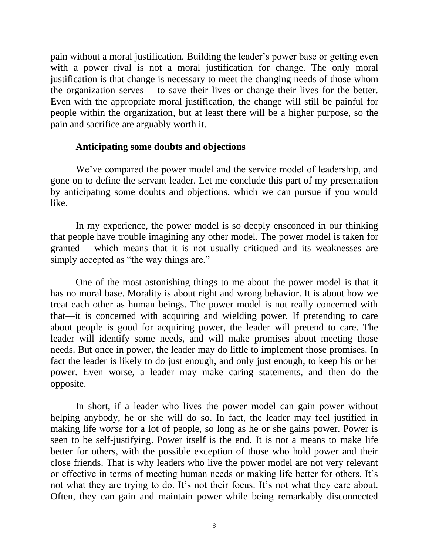pain without a moral justification. Building the leader's power base or getting even with a power rival is not a moral justification for change. The only moral justification is that change is necessary to meet the changing needs of those whom the organization serves— to save their lives or change their lives for the better. Even with the appropriate moral justification, the change will still be painful for people within the organization, but at least there will be a higher purpose, so the pain and sacrifice are arguably worth it.

#### **Anticipating some doubts and objections**

We've compared the power model and the service model of leadership, and gone on to define the servant leader. Let me conclude this part of my presentation by anticipating some doubts and objections, which we can pursue if you would like.

In my experience, the power model is so deeply ensconced in our thinking that people have trouble imagining any other model. The power model is taken for granted— which means that it is not usually critiqued and its weaknesses are simply accepted as "the way things are."

One of the most astonishing things to me about the power model is that it has no moral base. Morality is about right and wrong behavior. It is about how we treat each other as human beings. The power model is not really concerned with that—it is concerned with acquiring and wielding power. If pretending to care about people is good for acquiring power, the leader will pretend to care. The leader will identify some needs, and will make promises about meeting those needs. But once in power, the leader may do little to implement those promises. In fact the leader is likely to do just enough, and only just enough, to keep his or her power. Even worse, a leader may make caring statements, and then do the opposite.

In short, if a leader who lives the power model can gain power without helping anybody, he or she will do so. In fact, the leader may feel justified in making life *worse* for a lot of people, so long as he or she gains power. Power is seen to be self-justifying. Power itself is the end. It is not a means to make life better for others, with the possible exception of those who hold power and their close friends. That is why leaders who live the power model are not very relevant or effective in terms of meeting human needs or making life better for others. It's not what they are trying to do. It's not their focus. It's not what they care about. Often, they can gain and maintain power while being remarkably disconnected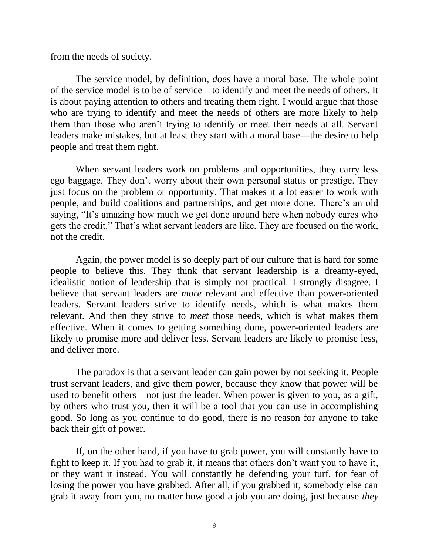from the needs of society.

The service model, by definition, *does* have a moral base. The whole point of the service model is to be of service—to identify and meet the needs of others. It is about paying attention to others and treating them right. I would argue that those who are trying to identify and meet the needs of others are more likely to help them than those who aren't trying to identify or meet their needs at all. Servant leaders make mistakes, but at least they start with a moral base—the desire to help people and treat them right.

When servant leaders work on problems and opportunities, they carry less ego baggage. They don't worry about their own personal status or prestige. They just focus on the problem or opportunity. That makes it a lot easier to work with people, and build coalitions and partnerships, and get more done. There's an old saying, "It's amazing how much we get done around here when nobody cares who gets the credit." That's what servant leaders are like. They are focused on the work, not the credit.

Again, the power model is so deeply part of our culture that is hard for some people to believe this. They think that servant leadership is a dreamy-eyed, idealistic notion of leadership that is simply not practical. I strongly disagree. I believe that servant leaders are *more* relevant and effective than power-oriented leaders. Servant leaders strive to identify needs, which is what makes them relevant. And then they strive to *meet* those needs, which is what makes them effective. When it comes to getting something done, power-oriented leaders are likely to promise more and deliver less. Servant leaders are likely to promise less, and deliver more.

The paradox is that a servant leader can gain power by not seeking it. People trust servant leaders, and give them power, because they know that power will be used to benefit others—not just the leader. When power is given to you, as a gift, by others who trust you, then it will be a tool that you can use in accomplishing good. So long as you continue to do good, there is no reason for anyone to take back their gift of power.

If, on the other hand, if you have to grab power, you will constantly have to fight to keep it. If you had to grab it, it means that others don't want you to have it, or they want it instead. You will constantly be defending your turf, for fear of losing the power you have grabbed. After all, if you grabbed it, somebody else can grab it away from you, no matter how good a job you are doing, just because *they*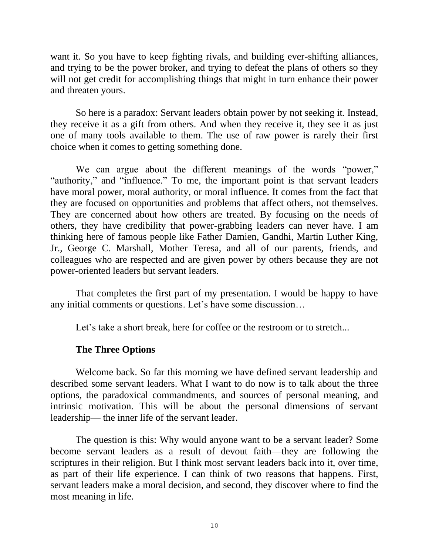want it. So you have to keep fighting rivals, and building ever-shifting alliances, and trying to be the power broker, and trying to defeat the plans of others so they will not get credit for accomplishing things that might in turn enhance their power and threaten yours.

So here is a paradox: Servant leaders obtain power by not seeking it. Instead, they receive it as a gift from others. And when they receive it, they see it as just one of many tools available to them. The use of raw power is rarely their first choice when it comes to getting something done.

We can argue about the different meanings of the words "power," "authority," and "influence." To me, the important point is that servant leaders have moral power, moral authority, or moral influence. It comes from the fact that they are focused on opportunities and problems that affect others, not themselves. They are concerned about how others are treated. By focusing on the needs of others, they have credibility that power-grabbing leaders can never have. I am thinking here of famous people like Father Damien, Gandhi, Martin Luther King, Jr., George C. Marshall, Mother Teresa, and all of our parents, friends, and colleagues who are respected and are given power by others because they are not power-oriented leaders but servant leaders.

That completes the first part of my presentation. I would be happy to have any initial comments or questions. Let's have some discussion…

Let's take a short break, here for coffee or the restroom or to stretch...

# **The Three Options**

Welcome back. So far this morning we have defined servant leadership and described some servant leaders. What I want to do now is to talk about the three options, the paradoxical commandments, and sources of personal meaning, and intrinsic motivation. This will be about the personal dimensions of servant leadership— the inner life of the servant leader.

The question is this: Why would anyone want to be a servant leader? Some become servant leaders as a result of devout faith—they are following the scriptures in their religion. But I think most servant leaders back into it, over time, as part of their life experience. I can think of two reasons that happens. First, servant leaders make a moral decision, and second, they discover where to find the most meaning in life.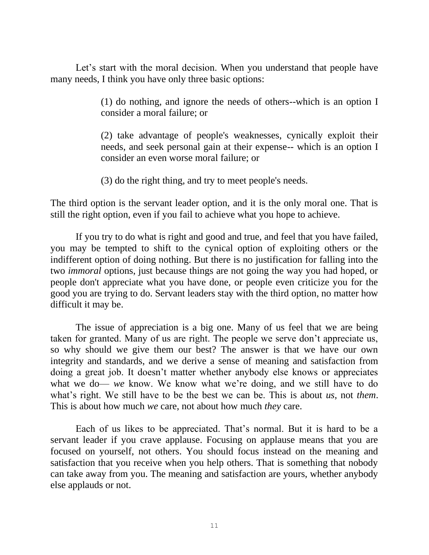Let's start with the moral decision. When you understand that people have many needs, I think you have only three basic options:

> (1) do nothing, and ignore the needs of others--which is an option I consider a moral failure; or

> (2) take advantage of people's weaknesses, cynically exploit their needs, and seek personal gain at their expense-- which is an option I consider an even worse moral failure; or

(3) do the right thing, and try to meet people's needs.

The third option is the servant leader option, and it is the only moral one. That is still the right option, even if you fail to achieve what you hope to achieve.

If you try to do what is right and good and true, and feel that you have failed, you may be tempted to shift to the cynical option of exploiting others or the indifferent option of doing nothing. But there is no justification for falling into the two *immoral* options, just because things are not going the way you had hoped, or people don't appreciate what you have done, or people even criticize you for the good you are trying to do. Servant leaders stay with the third option, no matter how difficult it may be.

The issue of appreciation is a big one. Many of us feel that we are being taken for granted. Many of us are right. The people we serve don't appreciate us, so why should we give them our best? The answer is that we have our own integrity and standards, and we derive a sense of meaning and satisfaction from doing a great job. It doesn't matter whether anybody else knows or appreciates what we do— *we* know. We know what we're doing, and we still have to do what's right. We still have to be the best we can be. This is about *us*, not *them*. This is about how much *we* care, not about how much *they* care.

Each of us likes to be appreciated. That's normal. But it is hard to be a servant leader if you crave applause. Focusing on applause means that you are focused on yourself, not others. You should focus instead on the meaning and satisfaction that you receive when you help others. That is something that nobody can take away from you. The meaning and satisfaction are yours, whether anybody else applauds or not.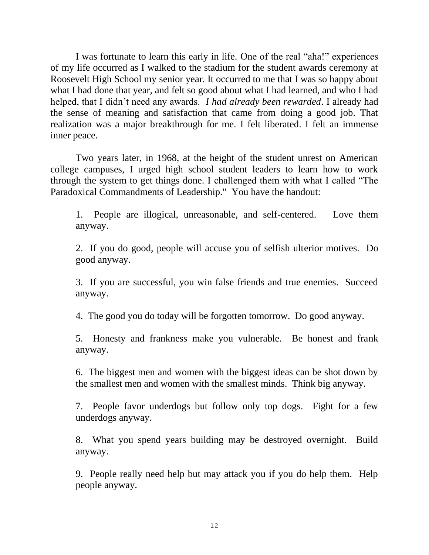I was fortunate to learn this early in life. One of the real "aha!" experiences of my life occurred as I walked to the stadium for the student awards ceremony at Roosevelt High School my senior year. It occurred to me that I was so happy about what I had done that year, and felt so good about what I had learned, and who I had helped, that I didn't need any awards. *I had already been rewarded*. I already had the sense of meaning and satisfaction that came from doing a good job. That realization was a major breakthrough for me. I felt liberated. I felt an immense inner peace.

Two years later, in 1968, at the height of the student unrest on American college campuses, I urged high school student leaders to learn how to work through the system to get things done. I challenged them with what I called "The Paradoxical Commandments of Leadership." You have the handout:

1. People are illogical, unreasonable, and self-centered. Love them anyway.

2. If you do good, people will accuse you of selfish ulterior motives. Do good anyway.

3. If you are successful, you win false friends and true enemies. Succeed anyway.

4. The good you do today will be forgotten tomorrow. Do good anyway.

5. Honesty and frankness make you vulnerable. Be honest and frank anyway.

6. The biggest men and women with the biggest ideas can be shot down by the smallest men and women with the smallest minds. Think big anyway.

7. People favor underdogs but follow only top dogs. Fight for a few underdogs anyway.

8. What you spend years building may be destroyed overnight. Build anyway.

9. People really need help but may attack you if you do help them. Help people anyway.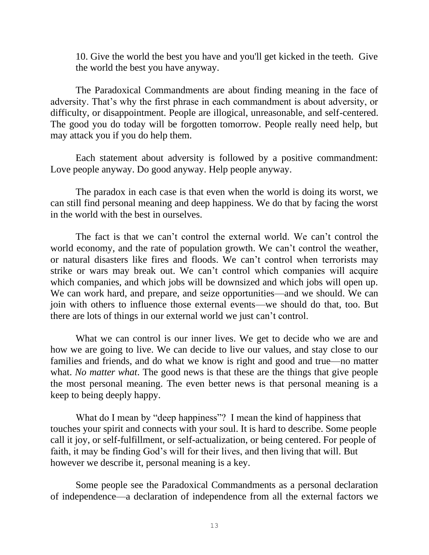10. Give the world the best you have and you'll get kicked in the teeth. Give the world the best you have anyway.

The Paradoxical Commandments are about finding meaning in the face of adversity. That's why the first phrase in each commandment is about adversity, or difficulty, or disappointment. People are illogical, unreasonable, and self-centered. The good you do today will be forgotten tomorrow. People really need help, but may attack you if you do help them.

Each statement about adversity is followed by a positive commandment: Love people anyway. Do good anyway. Help people anyway.

The paradox in each case is that even when the world is doing its worst, we can still find personal meaning and deep happiness. We do that by facing the worst in the world with the best in ourselves.

The fact is that we can't control the external world. We can't control the world economy, and the rate of population growth. We can't control the weather, or natural disasters like fires and floods. We can't control when terrorists may strike or wars may break out. We can't control which companies will acquire which companies, and which jobs will be downsized and which jobs will open up. We can work hard, and prepare, and seize opportunities—and we should. We can join with others to influence those external events—we should do that, too. But there are lots of things in our external world we just can't control.

What we can control is our inner lives. We get to decide who we are and how we are going to live. We can decide to live our values, and stay close to our families and friends, and do what we know is right and good and true—no matter what. *No matter what*. The good news is that these are the things that give people the most personal meaning. The even better news is that personal meaning is a keep to being deeply happy.

What do I mean by "deep happiness"? I mean the kind of happiness that touches your spirit and connects with your soul. It is hard to describe. Some people call it joy, or self-fulfillment, or self-actualization, or being centered. For people of faith, it may be finding God's will for their lives, and then living that will. But however we describe it, personal meaning is a key.

Some people see the Paradoxical Commandments as a personal declaration of independence—a declaration of independence from all the external factors we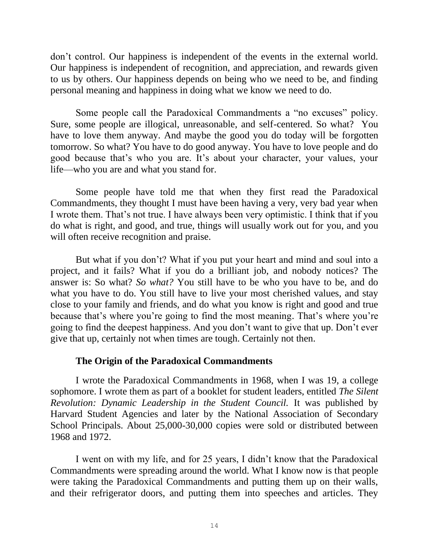don't control. Our happiness is independent of the events in the external world. Our happiness is independent of recognition, and appreciation, and rewards given to us by others. Our happiness depends on being who we need to be, and finding personal meaning and happiness in doing what we know we need to do.

Some people call the Paradoxical Commandments a "no excuses" policy. Sure, some people are illogical, unreasonable, and self-centered. So what? You have to love them anyway. And maybe the good you do today will be forgotten tomorrow. So what? You have to do good anyway. You have to love people and do good because that's who you are. It's about your character, your values, your life—who you are and what you stand for.

Some people have told me that when they first read the Paradoxical Commandments, they thought I must have been having a very, very bad year when I wrote them. That's not true. I have always been very optimistic. I think that if you do what is right, and good, and true, things will usually work out for you, and you will often receive recognition and praise.

But what if you don't? What if you put your heart and mind and soul into a project, and it fails? What if you do a brilliant job, and nobody notices? The answer is: So what? *So what?* You still have to be who you have to be, and do what you have to do. You still have to live your most cherished values, and stay close to your family and friends, and do what you know is right and good and true because that's where you're going to find the most meaning. That's where you're going to find the deepest happiness. And you don't want to give that up. Don't ever give that up, certainly not when times are tough. Certainly not then.

# **The Origin of the Paradoxical Commandments**

I wrote the Paradoxical Commandments in 1968, when I was 19, a college sophomore. I wrote them as part of a booklet for student leaders, entitled *The Silent Revolution: Dynamic Leadership in the Student Council.* It was published by Harvard Student Agencies and later by the National Association of Secondary School Principals. About 25,000-30,000 copies were sold or distributed between 1968 and 1972.

I went on with my life, and for 25 years, I didn't know that the Paradoxical Commandments were spreading around the world. What I know now is that people were taking the Paradoxical Commandments and putting them up on their walls, and their refrigerator doors, and putting them into speeches and articles. They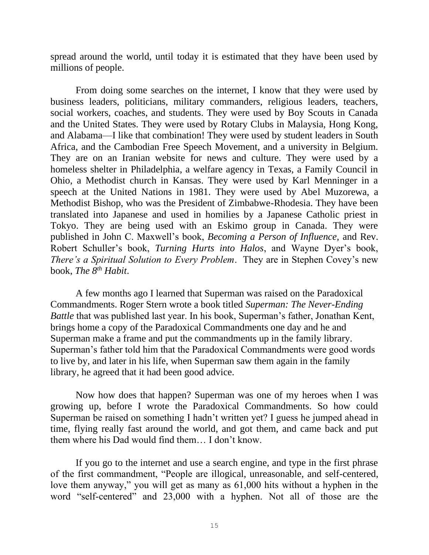spread around the world, until today it is estimated that they have been used by millions of people.

From doing some searches on the internet, I know that they were used by business leaders, politicians, military commanders, religious leaders, teachers, social workers, coaches, and students. They were used by Boy Scouts in Canada and the United States. They were used by Rotary Clubs in Malaysia, Hong Kong, and Alabama—I like that combination! They were used by student leaders in South Africa, and the Cambodian Free Speech Movement, and a university in Belgium. They are on an Iranian website for news and culture. They were used by a homeless shelter in Philadelphia, a welfare agency in Texas, a Family Council in Ohio, a Methodist church in Kansas. They were used by Karl Menninger in a speech at the United Nations in 1981. They were used by Abel Muzorewa, a Methodist Bishop, who was the President of Zimbabwe-Rhodesia. They have been translated into Japanese and used in homilies by a Japanese Catholic priest in Tokyo. They are being used with an Eskimo group in Canada. They were published in John C. Maxwell's book, *Becoming a Person of Influence,* and Rev. Robert Schuller's book, *Turning Hurts into Halos*, and Wayne Dyer's book, *There's a Spiritual Solution to Every Problem*. They are in Stephen Covey's new book, *The 8th Habit*.

A few months ago I learned that Superman was raised on the Paradoxical Commandments. Roger Stern wrote a book titled *Superman: The Never-Ending Battle* that was published last year. In his book, Superman's father, Jonathan Kent, brings home a copy of the Paradoxical Commandments one day and he and Superman make a frame and put the commandments up in the family library. Superman's father told him that the Paradoxical Commandments were good words to live by, and later in his life, when Superman saw them again in the family library, he agreed that it had been good advice.

Now how does that happen? Superman was one of my heroes when I was growing up, before I wrote the Paradoxical Commandments. So how could Superman be raised on something I hadn't written yet? I guess he jumped ahead in time, flying really fast around the world, and got them, and came back and put them where his Dad would find them… I don't know.

If you go to the internet and use a search engine, and type in the first phrase of the first commandment, "People are illogical, unreasonable, and self-centered, love them anyway," you will get as many as 61,000 hits without a hyphen in the word "self-centered" and 23,000 with a hyphen. Not all of those are the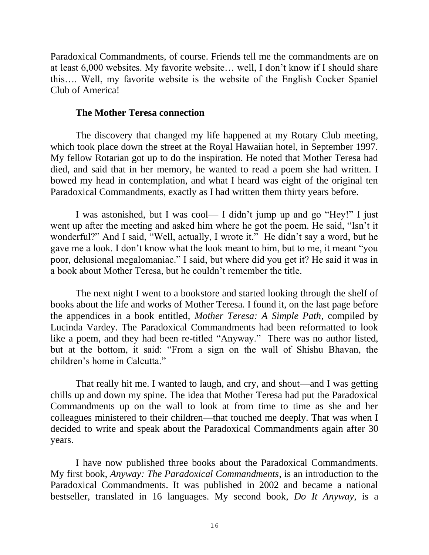Paradoxical Commandments, of course. Friends tell me the commandments are on at least 6,000 websites. My favorite website… well, I don't know if I should share this…. Well, my favorite website is the website of the English Cocker Spaniel Club of America!

# **The Mother Teresa connection**

The discovery that changed my life happened at my Rotary Club meeting, which took place down the street at the Royal Hawaiian hotel, in September 1997. My fellow Rotarian got up to do the inspiration. He noted that Mother Teresa had died, and said that in her memory, he wanted to read a poem she had written. I bowed my head in contemplation, and what I heard was eight of the original ten Paradoxical Commandments, exactly as I had written them thirty years before.

I was astonished, but I was cool— I didn't jump up and go "Hey!" I just went up after the meeting and asked him where he got the poem. He said, "Isn't it wonderful?" And I said, "Well, actually, I wrote it." He didn't say a word, but he gave me a look. I don't know what the look meant to him, but to me, it meant "you poor, delusional megalomaniac." I said, but where did you get it? He said it was in a book about Mother Teresa, but he couldn't remember the title.

The next night I went to a bookstore and started looking through the shelf of books about the life and works of Mother Teresa. I found it, on the last page before the appendices in a book entitled, *Mother Teresa: A Simple Path*, compiled by Lucinda Vardey. The Paradoxical Commandments had been reformatted to look like a poem, and they had been re-titled "Anyway." There was no author listed, but at the bottom, it said: "From a sign on the wall of Shishu Bhavan, the children's home in Calcutta."

That really hit me. I wanted to laugh, and cry, and shout—and I was getting chills up and down my spine. The idea that Mother Teresa had put the Paradoxical Commandments up on the wall to look at from time to time as she and her colleagues ministered to their children—that touched me deeply. That was when I decided to write and speak about the Paradoxical Commandments again after 30 years.

I have now published three books about the Paradoxical Commandments. My first book, *Anyway: The Paradoxical Commandments*, is an introduction to the Paradoxical Commandments. It was published in 2002 and became a national bestseller, translated in 16 languages. My second book, *Do It Anyway*, is a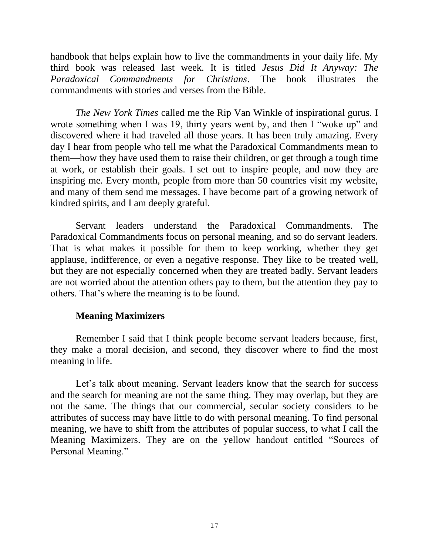handbook that helps explain how to live the commandments in your daily life. My third book was released last week. It is titled *Jesus Did It Anyway: The Paradoxical Commandments for Christians*. The book illustrates the commandments with stories and verses from the Bible.

*The New York Times* called me the Rip Van Winkle of inspirational gurus. I wrote something when I was 19, thirty years went by, and then I "woke up" and discovered where it had traveled all those years. It has been truly amazing. Every day I hear from people who tell me what the Paradoxical Commandments mean to them—how they have used them to raise their children, or get through a tough time at work, or establish their goals. I set out to inspire people, and now they are inspiring me. Every month, people from more than 50 countries visit my website, and many of them send me messages. I have become part of a growing network of kindred spirits, and I am deeply grateful.

Servant leaders understand the Paradoxical Commandments. The Paradoxical Commandments focus on personal meaning, and so do servant leaders. That is what makes it possible for them to keep working, whether they get applause, indifference, or even a negative response. They like to be treated well, but they are not especially concerned when they are treated badly. Servant leaders are not worried about the attention others pay to them, but the attention they pay to others. That's where the meaning is to be found.

# **Meaning Maximizers**

Remember I said that I think people become servant leaders because, first, they make a moral decision, and second, they discover where to find the most meaning in life.

Let's talk about meaning. Servant leaders know that the search for success and the search for meaning are not the same thing. They may overlap, but they are not the same. The things that our commercial, secular society considers to be attributes of success may have little to do with personal meaning. To find personal meaning, we have to shift from the attributes of popular success, to what I call the Meaning Maximizers. They are on the yellow handout entitled "Sources of Personal Meaning."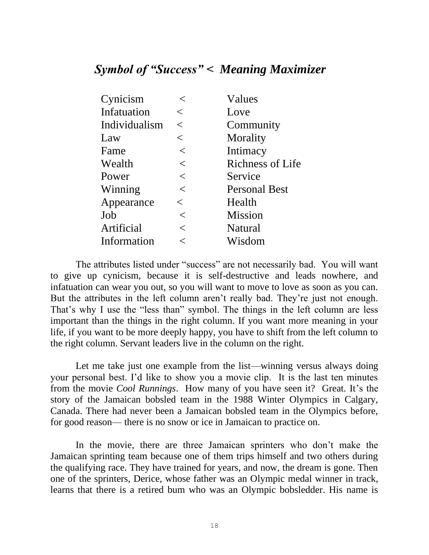# *Symbol of "Success" < Meaning Maximizer*

| Cynicism      |       | Values               |
|---------------|-------|----------------------|
| Infatuation   | $\lt$ | Love                 |
| Individualism | $\lt$ | Community            |
| Law           | $\lt$ | Morality             |
| Fame          | $\lt$ | Intimacy             |
| Wealth        | $\lt$ | Richness of Life     |
| Power         | $\lt$ | Service              |
| Winning       | $\lt$ | <b>Personal Best</b> |
| Appearance    | $\lt$ | Health               |
| Job           | $\lt$ | <b>Mission</b>       |
| Artificial    | $\lt$ | <b>Natural</b>       |
| Information   | ✓     | Wisdom               |

The attributes listed under "success" are not necessarily bad. You will want to give up cynicism, because it is self-destructive and leads nowhere, and infatuation can wear you out, so you will want to move to love as soon as you can. But the attributes in the left column aren't really bad. They're just not enough. That's why I use the "less than" symbol. The things in the left column are less important than the things in the right column. If you want more meaning in your life, if you want to be more deeply happy, you have to shift from the left column to the right column. Servant leaders live in the column on the right.

Let me take just one example from the list—winning versus always doing your personal best. I'd like to show you a movie clip. It is the last ten minutes from the movie *Cool Runnings*. How many of you have seen it? Great. It's the story of the Jamaican bobsled team in the 1988 Winter Olympics in Calgary, Canada. There had never been a Jamaican bobsled team in the Olympics before, for good reason— there is no snow or ice in Jamaican to practice on.

In the movie, there are three Jamaican sprinters who don't make the Jamaican sprinting team because one of them trips himself and two others during the qualifying race. They have trained for years, and now, the dream is gone. Then one of the sprinters, Derice, whose father was an Olympic medal winner in track, learns that there is a retired bum who was an Olympic bobsledder. His name is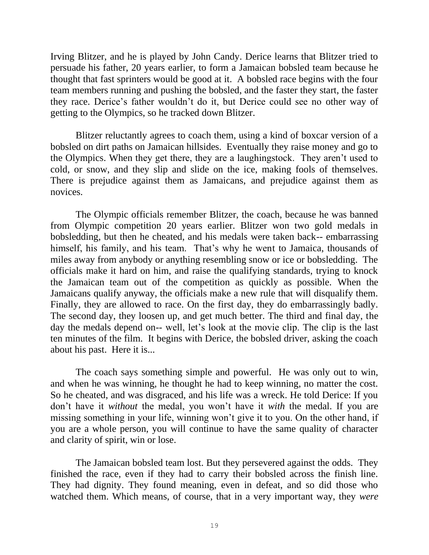Irving Blitzer, and he is played by John Candy. Derice learns that Blitzer tried to persuade his father, 20 years earlier, to form a Jamaican bobsled team because he thought that fast sprinters would be good at it. A bobsled race begins with the four team members running and pushing the bobsled, and the faster they start, the faster they race. Derice's father wouldn't do it, but Derice could see no other way of getting to the Olympics, so he tracked down Blitzer.

Blitzer reluctantly agrees to coach them, using a kind of boxcar version of a bobsled on dirt paths on Jamaican hillsides. Eventually they raise money and go to the Olympics. When they get there, they are a laughingstock. They aren't used to cold, or snow, and they slip and slide on the ice, making fools of themselves. There is prejudice against them as Jamaicans, and prejudice against them as novices.

The Olympic officials remember Blitzer, the coach, because he was banned from Olympic competition 20 years earlier. Blitzer won two gold medals in bobsledding, but then he cheated, and his medals were taken back-- embarrassing himself, his family, and his team. That's why he went to Jamaica, thousands of miles away from anybody or anything resembling snow or ice or bobsledding. The officials make it hard on him, and raise the qualifying standards, trying to knock the Jamaican team out of the competition as quickly as possible. When the Jamaicans qualify anyway, the officials make a new rule that will disqualify them. Finally, they are allowed to race. On the first day, they do embarrassingly badly. The second day, they loosen up, and get much better. The third and final day, the day the medals depend on-- well, let's look at the movie clip. The clip is the last ten minutes of the film. It begins with Derice, the bobsled driver, asking the coach about his past. Here it is...

The coach says something simple and powerful. He was only out to win, and when he was winning, he thought he had to keep winning, no matter the cost. So he cheated, and was disgraced, and his life was a wreck. He told Derice: If you don't have it *without* the medal, you won't have it *with* the medal. If you are missing something in your life, winning won't give it to you. On the other hand, if you are a whole person, you will continue to have the same quality of character and clarity of spirit, win or lose.

The Jamaican bobsled team lost. But they persevered against the odds. They finished the race, even if they had to carry their bobsled across the finish line. They had dignity. They found meaning, even in defeat, and so did those who watched them. Which means, of course, that in a very important way, they *were*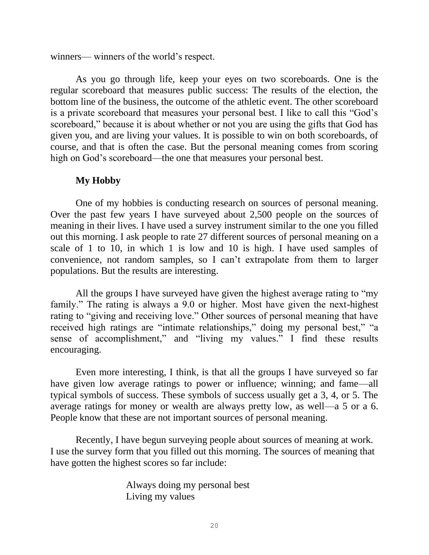winners— winners of the world's respect.

As you go through life, keep your eyes on two scoreboards. One is the regular scoreboard that measures public success: The results of the election, the bottom line of the business, the outcome of the athletic event. The other scoreboard is a private scoreboard that measures your personal best. I like to call this "God's scoreboard," because it is about whether or not you are using the gifts that God has given you, and are living your values. It is possible to win on both scoreboards, of course, and that is often the case. But the personal meaning comes from scoring high on God's scoreboard—the one that measures your personal best.

# **My Hobby**

One of my hobbies is conducting research on sources of personal meaning. Over the past few years I have surveyed about 2,500 people on the sources of meaning in their lives. I have used a survey instrument similar to the one you filled out this morning. I ask people to rate 27 different sources of personal meaning on a scale of 1 to 10, in which 1 is low and 10 is high. I have used samples of convenience, not random samples, so I can't extrapolate from them to larger populations. But the results are interesting.

All the groups I have surveyed have given the highest average rating to "my family." The rating is always a 9.0 or higher. Most have given the next-highest rating to "giving and receiving love." Other sources of personal meaning that have received high ratings are "intimate relationships," doing my personal best," "a sense of accomplishment," and "living my values." I find these results encouraging.

Even more interesting, I think, is that all the groups I have surveyed so far have given low average ratings to power or influence; winning; and fame—all typical symbols of success. These symbols of success usually get a 3, 4, or 5. The average ratings for money or wealth are always pretty low, as well—a 5 or a 6. People know that these are not important sources of personal meaning.

Recently, I have begun surveying people about sources of meaning at work. I use the survey form that you filled out this morning. The sources of meaning that have gotten the highest scores so far include:

> Always doing my personal best Living my values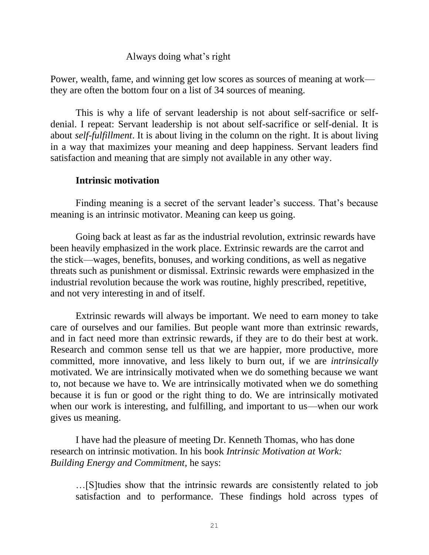#### Always doing what's right

Power, wealth, fame, and winning get low scores as sources of meaning at work they are often the bottom four on a list of 34 sources of meaning.

This is why a life of servant leadership is not about self-sacrifice or selfdenial. I repeat: Servant leadership is not about self-sacrifice or self-denial. It is about *self-fulfillment*. It is about living in the column on the right. It is about living in a way that maximizes your meaning and deep happiness. Servant leaders find satisfaction and meaning that are simply not available in any other way.

# **Intrinsic motivation**

Finding meaning is a secret of the servant leader's success. That's because meaning is an intrinsic motivator. Meaning can keep us going.

Going back at least as far as the industrial revolution, extrinsic rewards have been heavily emphasized in the work place. Extrinsic rewards are the carrot and the stick—wages, benefits, bonuses, and working conditions, as well as negative threats such as punishment or dismissal. Extrinsic rewards were emphasized in the industrial revolution because the work was routine, highly prescribed, repetitive, and not very interesting in and of itself.

Extrinsic rewards will always be important. We need to earn money to take care of ourselves and our families. But people want more than extrinsic rewards, and in fact need more than extrinsic rewards, if they are to do their best at work. Research and common sense tell us that we are happier, more productive, more committed, more innovative, and less likely to burn out, if we are *intrinsically* motivated. We are intrinsically motivated when we do something because we want to, not because we have to. We are intrinsically motivated when we do something because it is fun or good or the right thing to do. We are intrinsically motivated when our work is interesting, and fulfilling, and important to us—when our work gives us meaning.

I have had the pleasure of meeting Dr. Kenneth Thomas, who has done research on intrinsic motivation. In his book *Intrinsic Motivation at Work: Building Energy and Commitment*, he says:

…[S]tudies show that the intrinsic rewards are consistently related to job satisfaction and to performance. These findings hold across types of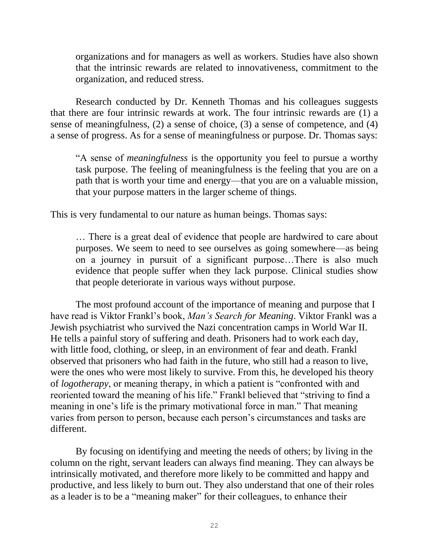organizations and for managers as well as workers. Studies have also shown that the intrinsic rewards are related to innovativeness, commitment to the organization, and reduced stress.

Research conducted by Dr. Kenneth Thomas and his colleagues suggests that there are four intrinsic rewards at work. The four intrinsic rewards are (1) a sense of meaningfulness, (2) a sense of choice, (3) a sense of competence, and (4) a sense of progress. As for a sense of meaningfulness or purpose. Dr. Thomas says:

"A sense of *meaningfulness* is the opportunity you feel to pursue a worthy task purpose. The feeling of meaningfulness is the feeling that you are on a path that is worth your time and energy—that you are on a valuable mission, that your purpose matters in the larger scheme of things.

This is very fundamental to our nature as human beings. Thomas says:

… There is a great deal of evidence that people are hardwired to care about purposes. We seem to need to see ourselves as going somewhere—as being on a journey in pursuit of a significant purpose…There is also much evidence that people suffer when they lack purpose. Clinical studies show that people deteriorate in various ways without purpose.

The most profound account of the importance of meaning and purpose that I have read is Viktor Frankl's book, *Man's Search for Meaning*. Viktor Frankl was a Jewish psychiatrist who survived the Nazi concentration camps in World War II. He tells a painful story of suffering and death. Prisoners had to work each day, with little food, clothing, or sleep, in an environment of fear and death. Frankl observed that prisoners who had faith in the future, who still had a reason to live, were the ones who were most likely to survive. From this, he developed his theory of *logotherapy*, or meaning therapy, in which a patient is "confronted with and reoriented toward the meaning of his life." Frankl believed that "striving to find a meaning in one's life is the primary motivational force in man." That meaning varies from person to person, because each person's circumstances and tasks are different.

By focusing on identifying and meeting the needs of others; by living in the column on the right, servant leaders can always find meaning. They can always be intrinsically motivated, and therefore more likely to be committed and happy and productive, and less likely to burn out. They also understand that one of their roles as a leader is to be a "meaning maker" for their colleagues, to enhance their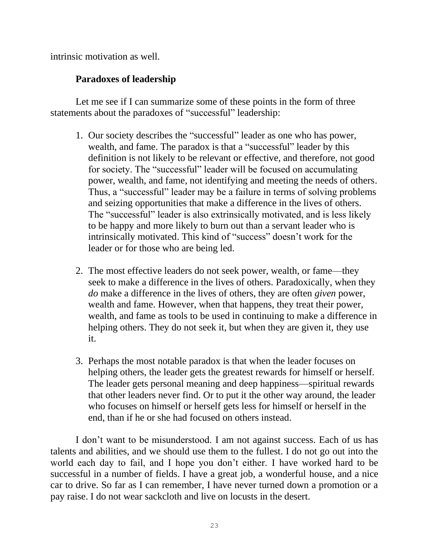intrinsic motivation as well.

# **Paradoxes of leadership**

Let me see if I can summarize some of these points in the form of three statements about the paradoxes of "successful" leadership:

- 1. Our society describes the "successful" leader as one who has power, wealth, and fame. The paradox is that a "successful" leader by this definition is not likely to be relevant or effective, and therefore, not good for society. The "successful" leader will be focused on accumulating power, wealth, and fame, not identifying and meeting the needs of others. Thus, a "successful" leader may be a failure in terms of solving problems and seizing opportunities that make a difference in the lives of others. The "successful" leader is also extrinsically motivated, and is less likely to be happy and more likely to burn out than a servant leader who is intrinsically motivated. This kind of "success" doesn't work for the leader or for those who are being led.
- 2. The most effective leaders do not seek power, wealth, or fame—they seek to make a difference in the lives of others. Paradoxically, when they *do* make a difference in the lives of others, they are often *given* power, wealth and fame. However, when that happens, they treat their power, wealth, and fame as tools to be used in continuing to make a difference in helping others. They do not seek it, but when they are given it, they use it.
- 3. Perhaps the most notable paradox is that when the leader focuses on helping others, the leader gets the greatest rewards for himself or herself. The leader gets personal meaning and deep happiness—spiritual rewards that other leaders never find. Or to put it the other way around, the leader who focuses on himself or herself gets less for himself or herself in the end, than if he or she had focused on others instead.

I don't want to be misunderstood. I am not against success. Each of us has talents and abilities, and we should use them to the fullest. I do not go out into the world each day to fail, and I hope you don't either. I have worked hard to be successful in a number of fields. I have a great job, a wonderful house, and a nice car to drive. So far as I can remember, I have never turned down a promotion or a pay raise. I do not wear sackcloth and live on locusts in the desert.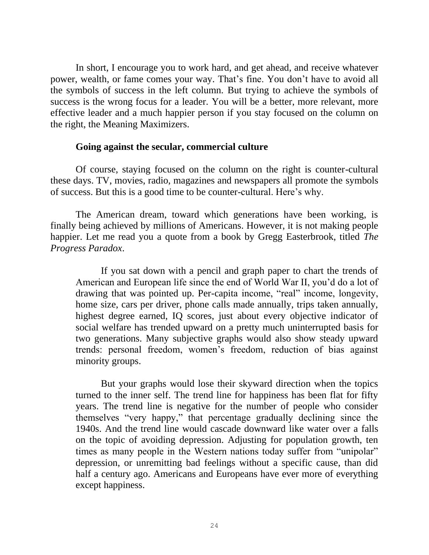In short, I encourage you to work hard, and get ahead, and receive whatever power, wealth, or fame comes your way. That's fine. You don't have to avoid all the symbols of success in the left column. But trying to achieve the symbols of success is the wrong focus for a leader. You will be a better, more relevant, more effective leader and a much happier person if you stay focused on the column on the right, the Meaning Maximizers.

#### **Going against the secular, commercial culture**

Of course, staying focused on the column on the right is counter-cultural these days. TV, movies, radio, magazines and newspapers all promote the symbols of success. But this is a good time to be counter-cultural. Here's why.

The American dream, toward which generations have been working, is finally being achieved by millions of Americans. However, it is not making people happier. Let me read you a quote from a book by Gregg Easterbrook, titled *The Progress Paradox*.

If you sat down with a pencil and graph paper to chart the trends of American and European life since the end of World War II, you'd do a lot of drawing that was pointed up. Per-capita income, "real" income, longevity, home size, cars per driver, phone calls made annually, trips taken annually, highest degree earned, IQ scores, just about every objective indicator of social welfare has trended upward on a pretty much uninterrupted basis for two generations. Many subjective graphs would also show steady upward trends: personal freedom, women's freedom, reduction of bias against minority groups.

But your graphs would lose their skyward direction when the topics turned to the inner self. The trend line for happiness has been flat for fifty years. The trend line is negative for the number of people who consider themselves "very happy," that percentage gradually declining since the 1940s. And the trend line would cascade downward like water over a falls on the topic of avoiding depression. Adjusting for population growth, ten times as many people in the Western nations today suffer from "unipolar" depression, or unremitting bad feelings without a specific cause, than did half a century ago. Americans and Europeans have ever more of everything except happiness.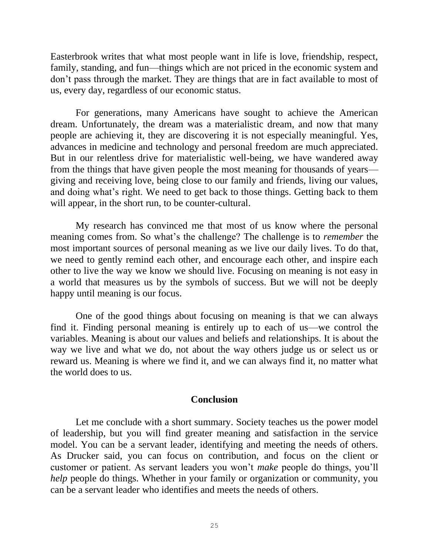Easterbrook writes that what most people want in life is love, friendship, respect, family, standing, and fun—things which are not priced in the economic system and don't pass through the market. They are things that are in fact available to most of us, every day, regardless of our economic status.

For generations, many Americans have sought to achieve the American dream. Unfortunately, the dream was a materialistic dream, and now that many people are achieving it, they are discovering it is not especially meaningful. Yes, advances in medicine and technology and personal freedom are much appreciated. But in our relentless drive for materialistic well-being, we have wandered away from the things that have given people the most meaning for thousands of years giving and receiving love, being close to our family and friends, living our values, and doing what's right. We need to get back to those things. Getting back to them will appear, in the short run, to be counter-cultural.

My research has convinced me that most of us know where the personal meaning comes from. So what's the challenge? The challenge is to *remember* the most important sources of personal meaning as we live our daily lives. To do that, we need to gently remind each other, and encourage each other, and inspire each other to live the way we know we should live. Focusing on meaning is not easy in a world that measures us by the symbols of success. But we will not be deeply happy until meaning is our focus.

One of the good things about focusing on meaning is that we can always find it. Finding personal meaning is entirely up to each of us—we control the variables. Meaning is about our values and beliefs and relationships. It is about the way we live and what we do, not about the way others judge us or select us or reward us. Meaning is where we find it, and we can always find it, no matter what the world does to us.

#### **Conclusion**

Let me conclude with a short summary. Society teaches us the power model of leadership, but you will find greater meaning and satisfaction in the service model. You can be a servant leader, identifying and meeting the needs of others. As Drucker said, you can focus on contribution, and focus on the client or customer or patient. As servant leaders you won't *make* people do things, you'll *help* people do things. Whether in your family or organization or community, you can be a servant leader who identifies and meets the needs of others.